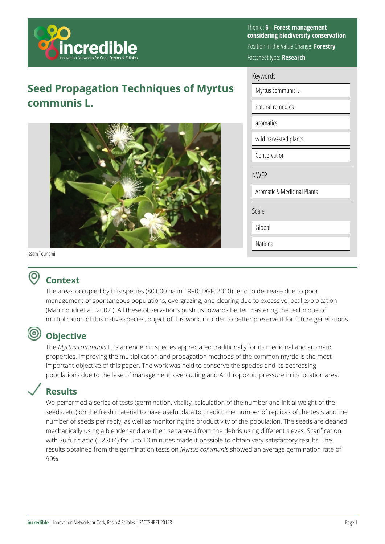

# **Seed Propagation Techniques of Myrtus communis L.**



Theme: **6 - Forest management considering biodiversity conservation**  Position in the Value Change: **Forestry**  Factsheet type: **Research** 

| Keywords                               |  |  |
|----------------------------------------|--|--|
| Myrtus communis L.                     |  |  |
| natural remedies                       |  |  |
| aromatics                              |  |  |
| wild harvested plants                  |  |  |
| Conservation                           |  |  |
| <b>NWFP</b>                            |  |  |
| <b>Aromatic &amp; Medicinal Plants</b> |  |  |
| Scale                                  |  |  |
| Global                                 |  |  |
| National                               |  |  |

#### Issam Touhami

0

## **Context**

The areas occupied by this species (80,000 ha in 1990; DGF, 2010) tend to decrease due to poor management of spontaneous populations, overgrazing, and clearing due to excessive local exploitation (Mahmoudi et al., 2007 ). All these observations push us towards better mastering the technique of multiplication of this native species, object of this work, in order to better preserve it for future generations.

## **Objective**

The *Myrtus communis* L. is an endemic species appreciated traditionally for its medicinal and aromatic properties. Improving the multiplication and propagation methods of the common myrtle is the most important objective of this paper. The work was held to conserve the species and its decreasing populations due to the lake of management, overcutting and Anthropozoic pressure in its location area.

## **Results**

We performed a series of tests (germination, vitality, calculation of the number and initial weight of the seeds, etc.) on the fresh material to have useful data to predict, the number of replicas of the tests and the number of seeds per reply, as well as monitoring the productivity of the population. The seeds are cleaned mechanically using a blender and are then separated from the debris using different sieves. Scarification with Sulfuric acid (H2SO4) for 5 to 10 minutes made it possible to obtain very satisfactory results. The results obtained from the germination tests on *Myrtus communis* showed an average germination rate of 90%.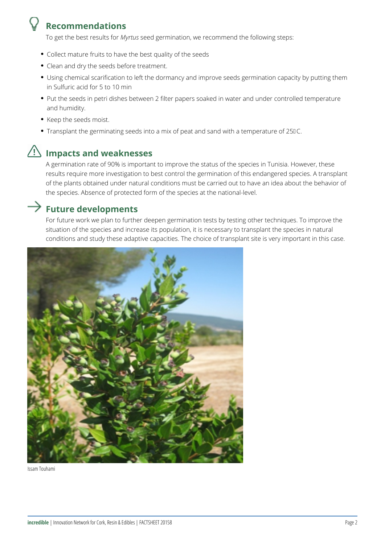## **Recommendations**

To get the best results for *Myrtus* seed germination, we recommend the following steps:

- Collect mature fruits to have the best quality of the seeds
- Clean and dry the seeds before treatment.
- Using chemical scarification to left the dormancy and improve seeds germination capacity by putting them in Sulfuric acid for 5 to 10 min
- Put the seeds in petri dishes between 2 filter papers soaked in water and under controlled temperature and humidity.
- Keep the seeds moist.
- Transplant the germinating seeds into a mix of peat and sand with a temperature of 250C.

# **Impacts and weaknesses**

A germination rate of 90% is important to improve the status of the species in Tunisia. However, these results require more investigation to best control the germination of this endangered species. A transplant of the plants obtained under natural conditions must be carried out to have an idea about the behavior of the species. Absence of protected form of the species at the national-level.

## **Future developments**

For future work we plan to further deepen germination tests by testing other techniques. To improve the situation of the species and increase its population, it is necessary to transplant the species in natural conditions and study these adaptive capacities. The choice of transplant site is very important in this case.



Issam Touhami